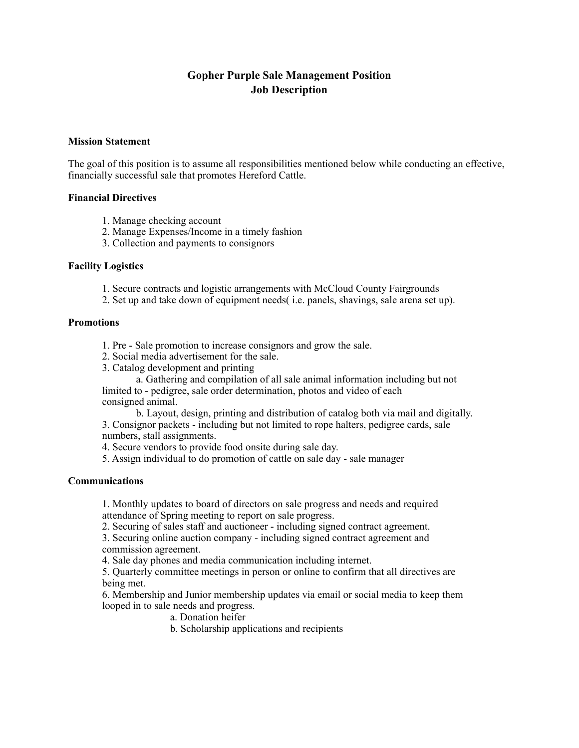# **Gopher Purple Sale Management Position Job Description**

# **Mission Statement**

The goal of this position is to assume all responsibilities mentioned below while conducting an effective, financially successful sale that promotes Hereford Cattle.

## **Financial Directives**

- 1. Manage checking account
- 2. Manage Expenses/Income in a timely fashion
- 3. Collection and payments to consignors

## **Facility Logistics**

- 1. Secure contracts and logistic arrangements with McCloud County Fairgrounds
- 2. Set up and take down of equipment needs( i.e. panels, shavings, sale arena set up).

#### **Promotions**

- 1. Pre Sale promotion to increase consignors and grow the sale.
- 2. Social media advertisement for the sale.
- 3. Catalog development and printing

a. Gathering and compilation of all sale animal information including but not limited to - pedigree, sale order determination, photos and video of each consigned animal.

b. Layout, design, printing and distribution of catalog both via mail and digitally. 3. Consignor packets - including but not limited to rope halters, pedigree cards, sale numbers, stall assignments.

4. Secure vendors to provide food onsite during sale day.

5. Assign individual to do promotion of cattle on sale day - sale manager

# **Communications**

1. Monthly updates to board of directors on sale progress and needs and required attendance of Spring meeting to report on sale progress.

2. Securing of sales staff and auctioneer - including signed contract agreement.

3. Securing online auction company - including signed contract agreement and commission agreement.

4. Sale day phones and media communication including internet.

5. Quarterly committee meetings in person or online to confirm that all directives are being met.

6. Membership and Junior membership updates via email or social media to keep them looped in to sale needs and progress.

a. Donation heifer

b. Scholarship applications and recipients